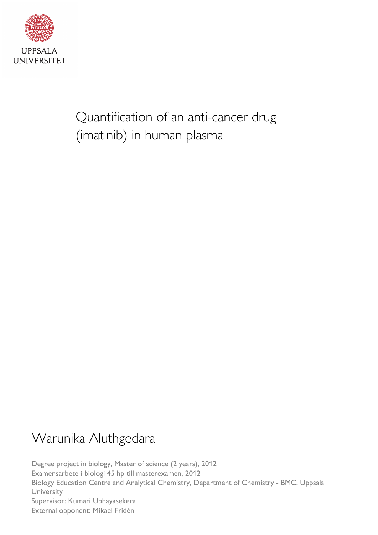

Quantification of an anti-cancer drug (imatinib) in human plasma

# Warunika Aluthgedara

Degree project in biology, Master of science (2 years), 2012 Examensarbete i biologi 45 hp till masterexamen, 2012 Biology Education Centre and Analytical Chemistry, Department of Chemistry - BMC, Uppsala **University** Supervisor: Kumari Ubhayasekera External opponent: Mikael Fridén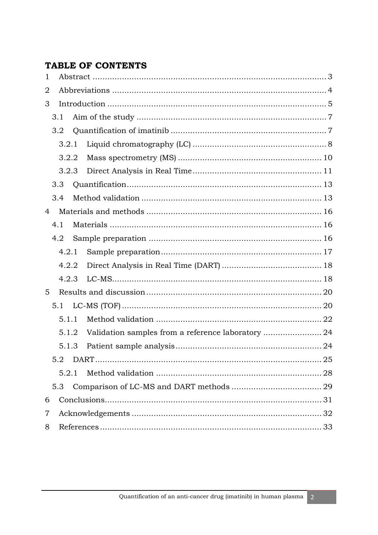# **TABLE OF CONTENTS**

| 1 |       |  |  |
|---|-------|--|--|
| 2 |       |  |  |
| 3 |       |  |  |
|   | 3.1   |  |  |
|   | 3.2   |  |  |
|   | 3.2.1 |  |  |
|   | 3.2.2 |  |  |
|   | 3.2.3 |  |  |
|   | 3.3   |  |  |
|   | 3.4   |  |  |
| 4 |       |  |  |
|   | 4.1   |  |  |
|   | 4.2   |  |  |
|   | 4.2.1 |  |  |
|   | 4.2.2 |  |  |
|   | 4.2.3 |  |  |
| 5 |       |  |  |
|   | 5.1   |  |  |
|   | 5.1.1 |  |  |
|   | 5.1.2 |  |  |
|   | 5.1.3 |  |  |
|   | 5.2   |  |  |
|   | 5.2.1 |  |  |
|   | 5.3   |  |  |
| 6 |       |  |  |
| 7 |       |  |  |
| 8 |       |  |  |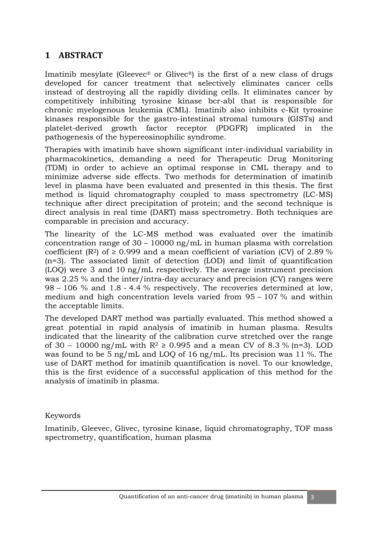# **1 ABSTRACT**

Imatinib mesylate (Gleevec<sup>®</sup> or Glivec<sup>®</sup>) is the first of a new class of drugs developed for cancer treatment that selectively eliminates cancer cells instead of destroying all the rapidly dividing cells. It eliminates cancer by competitively inhibiting tyrosine kinase bcr-abl that is responsible for chronic myelogenous leukemia (CML). Imatinib also inhibits c-Kit tyrosine kinases responsible for the gastro-intestinal stromal tumours (GISTs) and platelet-derived growth factor receptor (PDGFR) implicated in the pathogenesis of the hypereosinophilic syndrome.

Therapies with imatinib have shown significant inter-individual variability in pharmacokinetics, demanding a need for Therapeutic Drug Monitoring (TDM) in order to achieve an optimal response in CML therapy and to minimize adverse side effects. Two methods for determination of imatinib level in plasma have been evaluated and presented in this thesis. The first method is liquid chromatography coupled to mass spectrometry (LC-MS) technique after direct precipitation of protein; and the second technique is direct analysis in real time (DART) mass spectrometry. Both techniques are comparable in precision and accuracy.

The linearity of the LC-MS method was evaluated over the imatinib concentration range of 30 – 10000 ng/mL in human plasma with correlation coefficient (R<sup>2</sup>) of  $\geq$  0.999 and a mean coefficient of variation (CV) of 2.89 % (n=3). The associated limit of detection (LOD) and limit of quantification (LOQ) were 3 and 10 ng/mL respectively. The average instrument precision was 2.25 % and the inter/intra-day accuracy and precision (CV) ranges were 98 – 106 % and 1.8 - 4.4 % respectively. The recoveries determined at low, medium and high concentration levels varied from 95 – 107 % and within the acceptable limits.

The developed DART method was partially evaluated. This method showed a great potential in rapid analysis of imatinib in human plasma. Results indicated that the linearity of the calibration curve stretched over the range of 30 – 10000 ng/mL with  $R^2 \ge 0.995$  and a mean CV of 8.3 % (n=3). LOD was found to be 5 ng/mL and LOQ of 16 ng/mL. Its precision was 11 %. The use of DART method for imatinib quantification is novel. To our knowledge, this is the first evidence of a successful application of this method for the analysis of imatinib in plasma.

#### Keywords

Imatinib, Gleevec, Glivec, tyrosine kinase, liquid chromatography, TOF mass spectrometry, quantification, human plasma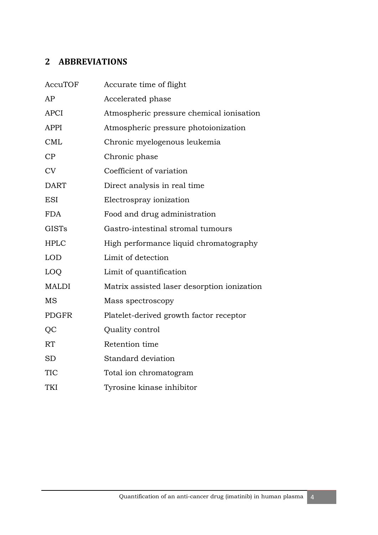# **2 ABBREVIATIONS**

| AccuTOF      | Accurate time of flight                     |
|--------------|---------------------------------------------|
| AP           | Accelerated phase                           |
| <b>APCI</b>  | Atmospheric pressure chemical ionisation    |
| <b>APPI</b>  | Atmospheric pressure photoionization        |
| <b>CML</b>   | Chronic myelogenous leukemia                |
| CP           | Chronic phase                               |
| <b>CV</b>    | Coefficient of variation                    |
| <b>DART</b>  | Direct analysis in real time                |
| <b>ESI</b>   | Electrospray ionization                     |
| <b>FDA</b>   | Food and drug administration                |
| <b>GISTs</b> | Gastro-intestinal stromal tumours           |
| <b>HPLC</b>  | High performance liquid chromatography      |
| <b>LOD</b>   | Limit of detection                          |
| LOQ          | Limit of quantification                     |
| <b>MALDI</b> | Matrix assisted laser desorption ionization |
| MS           | Mass spectroscopy                           |
| <b>PDGFR</b> | Platelet-derived growth factor receptor     |
| QC           | Quality control                             |
| RT           | Retention time                              |
| <b>SD</b>    | Standard deviation                          |
| TIC          | Total ion chromatogram                      |
| TKI          | Tyrosine kinase inhibitor                   |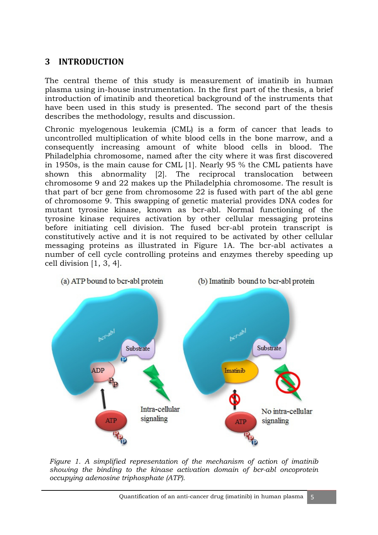## **3 INTRODUCTION**

The central theme of this study is measurement of imatinib in human plasma using in-house instrumentation. In the first part of the thesis, a brief introduction of imatinib and theoretical background of the instruments that have been used in this study is presented. The second part of the thesis describes the methodology, results and discussion.

Chronic myelogenous leukemia (CML) is a form of cancer that leads to uncontrolled multiplication of white blood cells in the bone marrow, and a consequently increasing amount of white blood cells in blood. The Philadelphia chromosome, named after the city where it was first discovered in 1950s, is the main cause for CML [1]. Nearly 95 % the CML patients have shown this abnormality [2]. The reciprocal translocation between chromosome 9 and 22 makes up the Philadelphia chromosome. The result is that part of bcr gene from chromosome 22 is fused with part of the abl gene of chromosome 9. This swapping of genetic material provides DNA codes for mutant tyrosine kinase, known as bcr-abl. Normal functioning of the tyrosine kinase requires activation by other cellular messaging proteins before initiating cell division. The fused bcr-abl protein transcript is constitutively active and it is not required to be activated by other cellular messaging proteins as illustrated in Figure 1A. The bcr-abl activates a number of cell cycle controlling proteins and enzymes thereby speeding up cell division [1, 3, 4].



*Figure 1. A simplified representation of the mechanism of action of imatinib showing the binding to the kinase activation domain of bcr-abl oncoprotein occupying adenosine triphosphate (ATP).*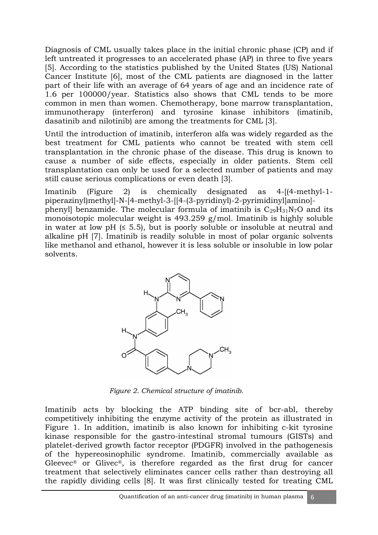Diagnosis of CML usually takes place in the initial chronic phase (CP) and if left untreated it progresses to an accelerated phase (AP) in three to five years [5]. According to the statistics published by the United States (US) National Cancer Institute [6], most of the CML patients are diagnosed in the latter part of their life with an average of 64 years of age and an incidence rate of 1.6 per 100000/year. Statistics also shows that CML tends to be more common in men than women. Chemotherapy, bone marrow transplantation, immunotherapy (interferon) and tyrosine kinase inhibitors (imatinib, dasatinib and nilotinib) are among the treatments for CML [3].

Until the introduction of imatinib, interferon alfa was widely regarded as the best treatment for CML patients who cannot be treated with stem cell transplantation in the chronic phase of the disease. This drug is known to cause a number of side effects, especially in older patients. Stem cell transplantation can only be used for a selected number of patients and may still cause serious complications or even death [3].

Imatinib (Figure 2) is chemically designated as 4-[(4-methyl-1 piperazinyl)methyl]-N-[4-methyl-3-[[4-(3-pyridinyl)-2-pyrimidinyl]amino] phenyl] benzamide. The molecular formula of imatinib is  $C_{29}H_{31}N_7O$  and its monoisotopic molecular weight is 493.259 g/mol. Imatinib is highly soluble in water at low pH  $(≤ 5.5)$ , but is poorly soluble or insoluble at neutral and alkaline pH [7]. Imatinib is readily soluble in most of polar organic solvents like methanol and ethanol, however it is less soluble or insoluble in low polar solvents.



*Figure 2. Chemical structure of imatinib.* 

Imatinib acts by blocking the ATP binding site of bcr-abl, thereby competitively inhibiting the enzyme activity of the protein as illustrated in Figure 1. In addition, imatinib is also known for inhibiting c-kit tyrosine kinase responsible for the gastro-intestinal stromal tumours (GISTs) and platelet-derived growth factor receptor (PDGFR) involved in the pathogenesis of the hypereosinophilic syndrome. Imatinib, commercially available as Gleevec® or Glivec®, is therefore regarded as the first drug for cancer treatment that selectively eliminates cancer cells rather than destroying all the rapidly dividing cells [8]. It was first clinically tested for treating CML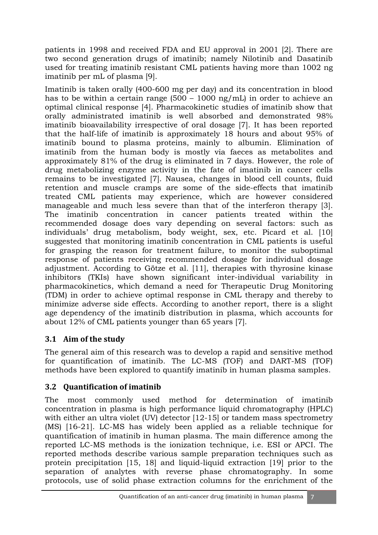patients in 1998 and received FDA and EU approval in 2001 [2]. There are two second generation drugs of imatinib; namely Nilotinib and Dasatinib used for treating imatinib resistant CML patients having more than 1002 ng imatinib per mL of plasma [9].

Imatinib is taken orally (400-600 mg per day) and its concentration in blood has to be within a certain range (500 – 1000 ng/mL) in order to achieve an optimal clinical response [4]. Pharmacokinetic studies of imatinib show that orally administrated imatinib is well absorbed and demonstrated 98% imatinib bioavailability irrespective of oral dosage [7]. It has been reported that the half-life of imatinib is approximately 18 hours and about 95% of imatinib bound to plasma proteins, mainly to albumin. Elimination of imatinib from the human body is mostly via faeces as metabolites and approximately 81% of the drug is eliminated in 7 days. However, the role of drug metabolizing enzyme activity in the fate of imatinib in cancer cells remains to be investigated [7]. Nausea, changes in blood cell counts, fluid retention and muscle cramps are some of the side-effects that imatinib treated CML patients may experience, which are however considered manageable and much less severe than that of the interferon therapy [3]. The imatinib concentration in cancer patients treated within the recommended dosage does vary depending on several factors: such as individuals' drug metabolism, body weight, sex, etc. Picard et al. [10] suggested that monitoring imatinib concentration in CML patients is useful for grasping the reason for treatment failure, to monitor the suboptimal response of patients receiving recommended dosage for individual dosage adjustment. According to Götze et al. [11], therapies with thyrosine kinase inhibitors (TKIs) have shown significant inter-individual variability in pharmacokinetics, which demand a need for Therapeutic Drug Monitoring (TDM) in order to achieve optimal response in CML therapy and thereby to minimize adverse side effects. According to another report, there is a slight age dependency of the imatinib distribution in plasma, which accounts for about 12% of CML patients younger than 65 years [7].

# **3.1 Aim of the study**

The general aim of this research was to develop a rapid and sensitive method for quantification of imatinib. The LC-MS (TOF) and DART-MS (TOF) methods have been explored to quantify imatinib in human plasma samples.

# **3.2 Quantification of imatinib**

The most commonly used method for determination of imatinib concentration in plasma is high performance liquid chromatography (HPLC) with either an ultra violet (UV) detector [12-15] or tandem mass spectrometry (MS) [16-21]. LC-MS has widely been applied as a reliable technique for quantification of imatinib in human plasma. The main difference among the reported LC-MS methods is the ionization technique, i.e. ESI or APCI. The reported methods describe various sample preparation techniques such as protein precipitation [15, 18] and liquid-liquid extraction [19] prior to the separation of analytes with reverse phase chromatography. In some protocols, use of solid phase extraction columns for the enrichment of the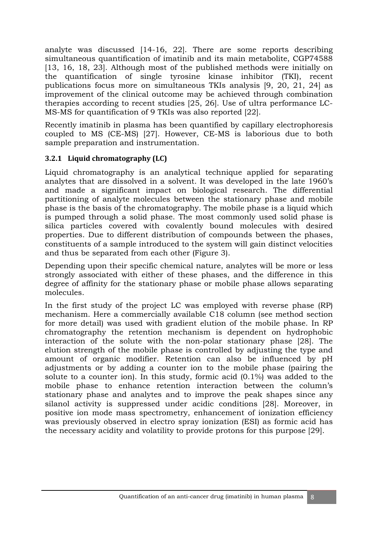analyte was discussed [14-16, 22]. There are some reports describing simultaneous quantification of imatinib and its main metabolite, CGP74588 [13, 16, 18, 23]. Although most of the published methods were initially on the quantification of single tyrosine kinase inhibitor (TKI), recent publications focus more on simultaneous TKIs analysis [9, 20, 21, 24] as improvement of the clinical outcome may be achieved through combination therapies according to recent studies [25, 26]. Use of ultra performance LC-MS-MS for quantification of 9 TKIs was also reported [22].

Recently imatinib in plasma has been quantified by capillary electrophoresis coupled to MS (CE-MS) [27]. However, CE-MS is laborious due to both sample preparation and instrumentation.

#### **3.2.1 Liquid chromatography (LC)**

Liquid chromatography is an analytical technique applied for separating analytes that are dissolved in a solvent. It was developed in the late 1960's and made a significant impact on biological research. The differential partitioning of analyte molecules between the stationary phase and mobile phase is the basis of the chromatography. The mobile phase is a liquid which is pumped through a solid phase. The most commonly used solid phase is silica particles covered with covalently bound molecules with desired properties. Due to different distribution of compounds between the phases, constituents of a sample introduced to the system will gain distinct velocities and thus be separated from each other (Figure 3).

Depending upon their specific chemical nature, analytes will be more or less strongly associated with either of these phases, and the difference in this degree of affinity for the stationary phase or mobile phase allows separating molecules.

In the first study of the project LC was employed with reverse phase (RP) mechanism. Here a commercially available C18 column (see method section for more detail) was used with gradient elution of the mobile phase. In RP chromatography the retention mechanism is dependent on hydrophobic interaction of the solute with the non-polar stationary phase [28]. The elution strength of the mobile phase is controlled by adjusting the type and amount of organic modifier. Retention can also be influenced by pH adjustments or by adding a counter ion to the mobile phase (pairing the solute to a counter ion). In this study, formic acid (0.1%) was added to the mobile phase to enhance retention interaction between the column's stationary phase and analytes and to improve the peak shapes since any silanol activity is suppressed under acidic conditions [28]. Moreover, in positive ion mode mass spectrometry, enhancement of ionization efficiency was previously observed in electro spray ionization (ESI) as formic acid has the necessary acidity and volatility to provide protons for this purpose [29].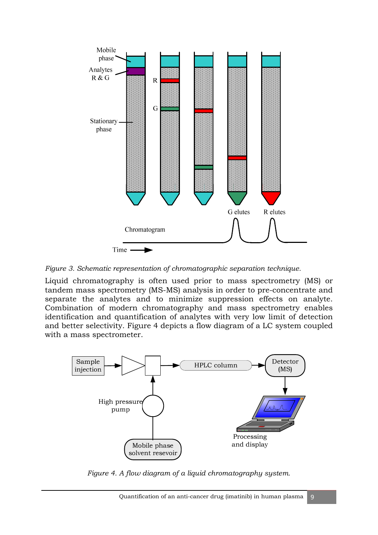

*Figure 3. Schematic representation of chromatographic separation technique.* 

Liquid chromatography is often used prior to mass spectrometry (MS) or tandem mass spectrometry (MS-MS) analysis in order to pre-concentrate and separate the analytes and to minimize suppression effects on analyte. Combination of modern chromatography and mass spectrometry enables identification and quantification of analytes with very low limit of detection and better selectivity. Figure 4 depicts a flow diagram of a LC system coupled with a mass spectrometer.



*Figure 4. A flow diagram of a liquid chromatography system.*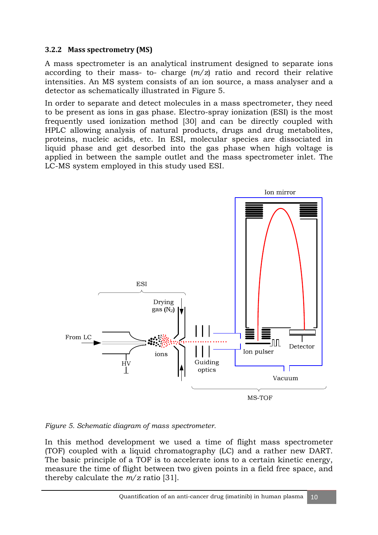#### **3.2.2 Mass spectrometry (MS)**

A mass spectrometer is an analytical instrument designed to separate ions according to their mass- to- charge (*m/z*) ratio and record their relative intensities. An MS system consists of an ion source, a mass analyser and a detector as schematically illustrated in Figure 5.

In order to separate and detect molecules in a mass spectrometer, they need to be present as ions in gas phase. Electro-spray ionization (ESI) is the most frequently used ionization method [30] and can be directly coupled with HPLC allowing analysis of natural products, drugs and drug metabolites, proteins, nucleic acids, etc. In ESI, molecular species are dissociated in liquid phase and get desorbed into the gas phase when high voltage is applied in between the sample outlet and the mass spectrometer inlet. The LC-MS system employed in this study used ESI.



*Figure 5. Schematic diagram of mass spectrometer.* 

In this method development we used a time of flight mass spectrometer (TOF) coupled with a liquid chromatography (LC) and a rather new DART. The basic principle of a TOF is to accelerate ions to a certain kinetic energy, measure the time of flight between two given points in a field free space, and thereby calculate the *m/z* ratio [31].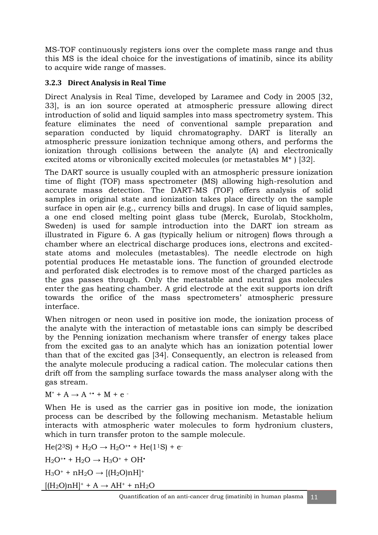MS-TOF continuously registers ions over the complete mass range and thus this MS is the ideal choice for the investigations of imatinib, since its ability to acquire wide range of masses.

#### **3.2.3 Direct Analysis in Real Time**

Direct Analysis in Real Time, developed by Laramee and Cody in 2005 [32, 33], is an ion source operated at atmospheric pressure allowing direct introduction of solid and liquid samples into mass spectrometry system. This feature eliminates the need of conventional sample preparation and separation conducted by liquid chromatography. DART is literally an atmospheric pressure ionization technique among others, and performs the ionization through collisions between the analyte (A) and electronically excited atoms or vibronically excited molecules (or metastables M\* ) [32].

The DART source is usually coupled with an atmospheric pressure ionization time of flight (TOF) mass spectrometer (MS) allowing high-resolution and accurate mass detection. The DART-MS (TOF) offers analysis of solid samples in original state and ionization takes place directly on the sample surface in open air (e.g., currency bills and drugs). In case of liquid samples, a one end closed melting point glass tube (Merck, Eurolab, Stockholm, Sweden) is used for sample introduction into the DART ion stream as illustrated in Figure 6. A gas (typically helium or nitrogen) flows through a chamber where an electrical discharge produces ions, electrons and excitedstate atoms and molecules (metastables). The needle electrode on high potential produces He metastable ions. The function of grounded electrode and perforated disk electrodes is to remove most of the charged particles as the gas passes through. Only the metastable and neutral gas molecules enter the gas heating chamber. A grid electrode at the exit supports ion drift towards the orifice of the mass spectrometers' atmospheric pressure interface.

When nitrogen or neon used in positive ion mode, the ionization process of the analyte with the interaction of metastable ions can simply be described by the Penning ionization mechanism where transfer of energy takes place from the excited gas to an analyte which has an ionization potential lower than that of the excited gas [34]. Consequently, an electron is released from the analyte molecule producing a radical cation. The molecular cations then drift off from the sampling surface towards the mass analyser along with the gas stream.

 $M^* + A \rightarrow A^{**} + M + e^{-}$ 

When He is used as the carrier gas in positive ion mode, the ionization process can be described by the following mechanism. Metastable helium interacts with atmospheric water molecules to form hydronium clusters, which in turn transfer proton to the sample molecule.

 $He(2^{3}S) + H_{2}O \rightarrow H_{2}O^{+}$  +  $He(1^{1}S)$  + e- $H_2O^{++} + H_2O \rightarrow H_3O^+ + OH^+$  $H_3O^+$  + n $H_2O \rightarrow [(H_2O)$ n $H$ <sup>+</sup>  $[(H<sub>2</sub>O)nH]$ <sup>+</sup> + A  $\rightarrow$  AH<sup>+</sup> + nH<sub>2</sub>O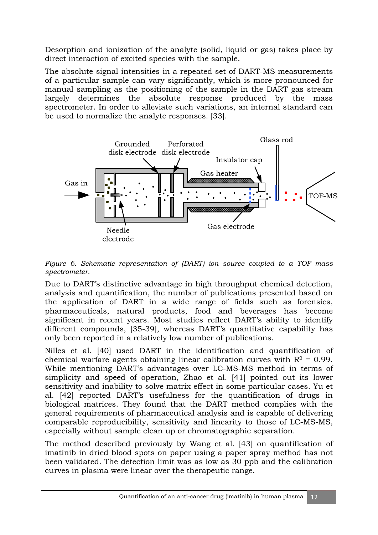Desorption and ionization of the analyte (solid, liquid or gas) takes place by direct interaction of excited species with the sample.

The absolute signal intensities in a repeated set of DART-MS measurements of a particular sample can vary significantly, which is more pronounced for manual sampling as the positioning of the sample in the DART gas stream largely determines the absolute response produced by the mass spectrometer. In order to alleviate such variations, an internal standard can be used to normalize the analyte responses. [33].



*Figure 6. Schematic representation of (DART) ion source coupled to a TOF mass spectrometer.* 

Due to DART's distinctive advantage in high throughput chemical detection, analysis and quantification, the number of publications presented based on the application of DART in a wide range of fields such as forensics, pharmaceuticals, natural products, food and beverages has become significant in recent years. Most studies reflect DART's ability to identify different compounds, [35-39], whereas DART's quantitative capability has only been reported in a relatively low number of publications.

Nilles et al. [40] used DART in the identification and quantification of chemical warfare agents obtaining linear calibration curves with  $R^2 = 0.99$ . While mentioning DART's advantages over LC-MS-MS method in terms of simplicity and speed of operation, Zhao et al. [41] pointed out its lower sensitivity and inability to solve matrix effect in some particular cases. Yu et al. [42] reported DART's usefulness for the quantification of drugs in biological matrices. They found that the DART method complies with the general requirements of pharmaceutical analysis and is capable of delivering comparable reproducibility, sensitivity and linearity to those of LC-MS-MS, especially without sample clean up or chromatographic separation.

The method described previously by Wang et al. [43] on quantification of imatinib in dried blood spots on paper using a paper spray method has not been validated. The detection limit was as low as 30 ppb and the calibration curves in plasma were linear over the therapeutic range.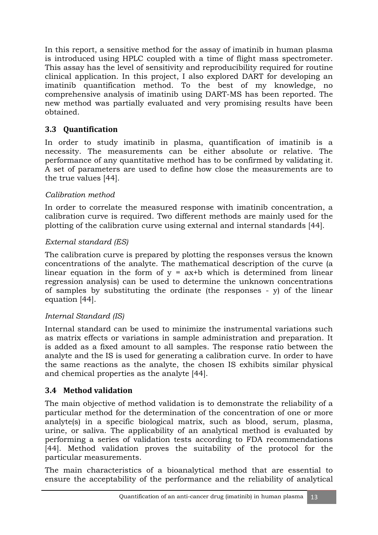In this report, a sensitive method for the assay of imatinib in human plasma is introduced using HPLC coupled with a time of flight mass spectrometer. This assay has the level of sensitivity and reproducibility required for routine clinical application. In this project, I also explored DART for developing an imatinib quantification method. To the best of my knowledge, no comprehensive analysis of imatinib using DART-MS has been reported. The new method was partially evaluated and very promising results have been obtained.

# **3.3 Quantification**

In order to study imatinib in plasma, quantification of imatinib is a necessity. The measurements can be either absolute or relative. The performance of any quantitative method has to be confirmed by validating it. A set of parameters are used to define how close the measurements are to the true values [44].

## *Calibration method*

In order to correlate the measured response with imatinib concentration, a calibration curve is required. Two different methods are mainly used for the plotting of the calibration curve using external and internal standards [44].

## *External standard (ES)*

The calibration curve is prepared by plotting the responses versus the known concentrations of the analyte. The mathematical description of the curve (a linear equation in the form of  $y = ax + b$  which is determined from linear regression analysis) can be used to determine the unknown concentrations of samples by substituting the ordinate (the responses - y) of the linear equation [44].

# *Internal Standard (IS)*

Internal standard can be used to minimize the instrumental variations such as matrix effects or variations in sample administration and preparation. It is added as a fixed amount to all samples. The response ratio between the analyte and the IS is used for generating a calibration curve. In order to have the same reactions as the analyte, the chosen IS exhibits similar physical and chemical properties as the analyte [44].

# **3.4 Method validation**

The main objective of method validation is to demonstrate the reliability of a particular method for the determination of the concentration of one or more analyte(s) in a specific biological matrix, such as blood, serum, plasma, urine, or saliva. The applicability of an analytical method is evaluated by performing a series of validation tests according to FDA recommendations [44]. Method validation proves the suitability of the protocol for the particular measurements.

The main characteristics of a bioanalytical method that are essential to ensure the acceptability of the performance and the reliability of analytical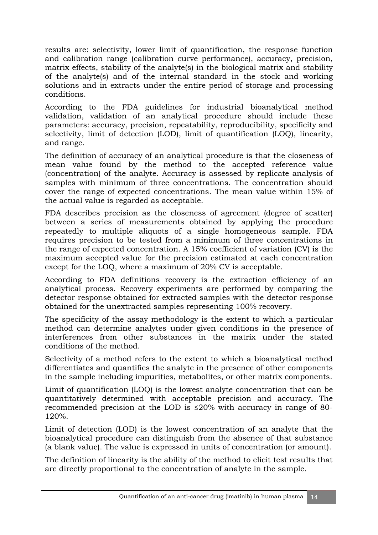results are: selectivity, lower limit of quantification, the response function and calibration range (calibration curve performance), accuracy, precision, matrix effects, stability of the analyte(s) in the biological matrix and stability of the analyte(s) and of the internal standard in the stock and working solutions and in extracts under the entire period of storage and processing conditions.

According to the FDA guidelines for industrial bioanalytical method validation, validation of an analytical procedure should include these parameters: accuracy, precision, repeatability, reproducibility, specificity and selectivity, limit of detection (LOD), limit of quantification (LOQ), linearity, and range.

The definition of accuracy of an analytical procedure is that the closeness of mean value found by the method to the accepted reference value (concentration) of the analyte. Accuracy is assessed by replicate analysis of samples with minimum of three concentrations. The concentration should cover the range of expected concentrations. The mean value within 15% of the actual value is regarded as acceptable.

FDA describes precision as the closeness of agreement (degree of scatter) between a series of measurements obtained by applying the procedure repeatedly to multiple aliquots of a single homogeneous sample. FDA requires precision to be tested from a minimum of three concentrations in the range of expected concentration. A 15% coefficient of variation (CV) is the maximum accepted value for the precision estimated at each concentration except for the LOQ, where a maximum of 20% CV is acceptable.

According to FDA definitions recovery is the extraction efficiency of an analytical process. Recovery experiments are performed by comparing the detector response obtained for extracted samples with the detector response obtained for the unextracted samples representing 100% recovery.

The specificity of the assay methodology is the extent to which a particular method can determine analytes under given conditions in the presence of interferences from other substances in the matrix under the stated conditions of the method.

Selectivity of a method refers to the extent to which a bioanalytical method differentiates and quantifies the analyte in the presence of other components in the sample including impurities, metabolites, or other matrix components.

Limit of quantification (LOQ) is the lowest analyte concentration that can be quantitatively determined with acceptable precision and accuracy. The recommended precision at the LOD is ≤20% with accuracy in range of 80- 120%.

Limit of detection (LOD) is the lowest concentration of an analyte that the bioanalytical procedure can distinguish from the absence of that substance (a blank value). The value is expressed in units of concentration (or amount).

The definition of linearity is the ability of the method to elicit test results that are directly proportional to the concentration of analyte in the sample.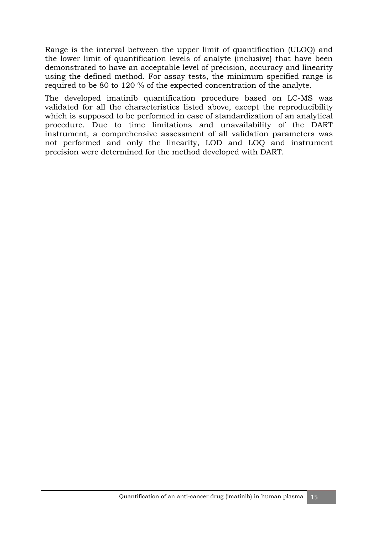Range is the interval between the upper limit of quantification (ULOQ) and the lower limit of quantification levels of analyte (inclusive) that have been demonstrated to have an acceptable level of precision, accuracy and linearity using the defined method. For assay tests, the minimum specified range is required to be 80 to 120 % of the expected concentration of the analyte.

The developed imatinib quantification procedure based on LC-MS was validated for all the characteristics listed above, except the reproducibility which is supposed to be performed in case of standardization of an analytical procedure. Due to time limitations and unavailability of the DART instrument, a comprehensive assessment of all validation parameters was not performed and only the linearity, LOD and LOQ and instrument precision were determined for the method developed with DART.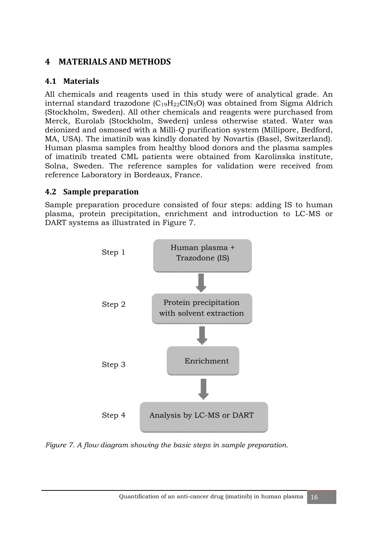# **4 MATERIALS AND METHODS**

## **4.1 Materials**

All chemicals and reagents used in this study were of analytical grade. An internal standard trazodone  $(C_{19}H_{22}C_{18}O)$  was obtained from Sigma Aldrich (Stockholm, Sweden). All other chemicals and reagents were purchased from Merck, Eurolab (Stockholm, Sweden) unless otherwise stated. Water was deionized and osmosed with a Milli-Q purification system (Millipore, Bedford, MA, USA). The imatinib was kindly donated by Novartis (Basel, Switzerland). Human plasma samples from healthy blood donors and the plasma samples of imatinib treated CML patients were obtained from Karolinska institute, Solna, Sweden. The reference samples for validation were received from reference Laboratory in Bordeaux, France.

#### **4.2 Sample preparation**

Sample preparation procedure consisted of four steps: adding IS to human plasma, protein precipitation, enrichment and introduction to LC-MS or DART systems as illustrated in Figure 7.



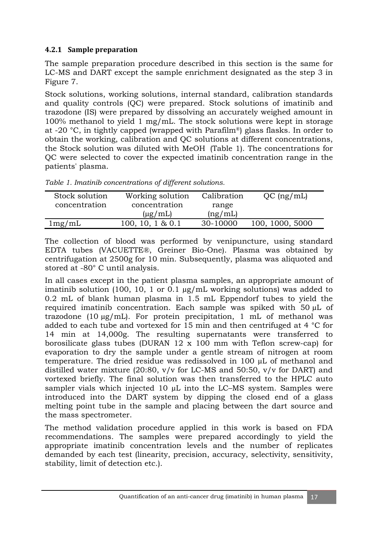#### **4.2.1 Sample preparation**

The sample preparation procedure described in this section is the same for LC-MS and DART except the sample enrichment designated as the step 3 in Figure 7.

Stock solutions, working solutions, internal standard, calibration standards and quality controls (QC) were prepared. Stock solutions of imatinib and trazodone (IS) were prepared by dissolving an accurately weighed amount in 100% methanol to yield 1 mg/mL. The stock solutions were kept in storage at -20 °C, in tightly capped (wrapped with Parafilm®) glass flasks. In order to obtain the working, calibration and QC solutions at different concentrations, the Stock solution was diluted with MeOH (Table 1). The concentrations for QC were selected to cover the expected imatinib concentration range in the patients' plasma.

*Table 1. Imatinib concentrations of different solutions.* 

| Stock solution | Working solution | Calibration | $QC$ (ng/mL)    |
|----------------|------------------|-------------|-----------------|
| concentration  | concentration    | range       |                 |
|                | $(\mu$ g/mL)     | (ng/mL)     |                 |
| 1mg/mL         | 100, 10, 1 & 0.1 | 30-10000    | 100, 1000, 5000 |

The collection of blood was performed by venipuncture, using standard EDTA tubes (VACUETTE®, Greiner Bio-One). Plasma was obtained by centrifugation at 2500g for 10 min. Subsequently, plasma was aliquoted and stored at -80° C until analysis.

In all cases except in the patient plasma samples, an appropriate amount of imatinib solution (100, 10, 1 or 0.1 µg/mL working solutions) was added to 0.2 mL of blank human plasma in 1.5 mL Eppendorf tubes to yield the required imatinib concentration. Each sample was spiked with 50 µL of trazodone (10  $\mu$ g/mL). For protein precipitation, 1 mL of methanol was added to each tube and vortexed for 15 min and then centrifuged at 4 °C for 14 min at 14,000g. The resulting supernatants were transferred to borosilicate glass tubes (DURAN 12 x 100 mm with Teflon screw-cap) for evaporation to dry the sample under a gentle stream of nitrogen at room temperature. The dried residue was redissolved in 100 µL of methanol and distilled water mixture (20:80,  $v/v$  for LC-MS and 50:50,  $v/v$  for DART) and vortexed briefly. The final solution was then transferred to the HPLC auto sampler vials which injected 10  $\mu$ L into the LC–MS system. Samples were introduced into the DART system by dipping the closed end of a glass melting point tube in the sample and placing between the dart source and the mass spectrometer.

The method validation procedure applied in this work is based on FDA recommendations. The samples were prepared accordingly to yield the appropriate imatinib concentration levels and the number of replicates demanded by each test (linearity, precision, accuracy, selectivity, sensitivity, stability, limit of detection etc.).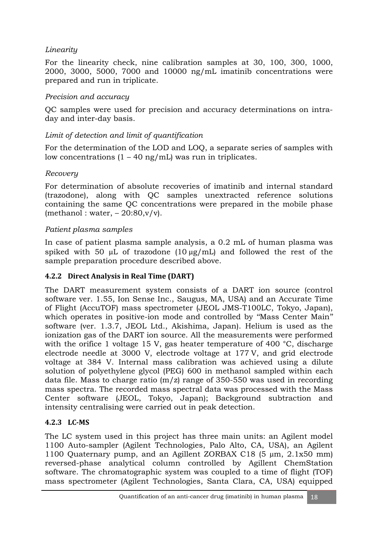## *Linearity*

For the linearity check, nine calibration samples at 30, 100, 300, 1000, 2000, 3000, 5000, 7000 and 10000 ng/mL imatinib concentrations were prepared and run in triplicate.

### *Precision and accuracy*

QC samples were used for precision and accuracy determinations on intraday and inter-day basis.

## *Limit of detection and limit of quantification*

For the determination of the LOD and LOQ, a separate series of samples with low concentrations  $(1 - 40 \text{ ng/mL})$  was run in triplicates.

#### *Recovery*

For determination of absolute recoveries of imatinib and internal standard (trazodone), along with QC samples unextracted reference solutions containing the same QC concentrations were prepared in the mobile phase (methanol: water,  $-20:80, v/v$ ).

#### *Patient plasma samples*

In case of patient plasma sample analysis, a 0.2 mL of human plasma was spiked with 50  $\mu$ L of trazodone (10  $\mu$ g/mL) and followed the rest of the sample preparation procedure described above.

#### **4.2.2 Direct Analysis in Real Time (DART)**

The DART measurement system consists of a DART ion source (control software ver. 1.55, Ion Sense Inc., Saugus, MA, USA) and an Accurate Time of Flight (AccuTOF) mass spectrometer (JEOL JMS-T100LC, Tokyo, Japan), which operates in positive-ion mode and controlled by ''Mass Center Main'' software (ver. 1.3.7, JEOL Ltd., Akishima, Japan). Helium is used as the ionization gas of the DART ion source. All the measurements were performed with the orifice 1 voltage 15 V, gas heater temperature of 400 °C, discharge electrode needle at 3000 V, electrode voltage at 177 V, and grid electrode voltage at 384 V. Internal mass calibration was achieved using a dilute solution of polyethylene glycol (PEG) 600 in methanol sampled within each data file. Mass to charge ratio  $(m/z)$  range of 350-550 was used in recording mass spectra. The recorded mass spectral data was processed with the Mass Center software (JEOL, Tokyo, Japan); Background subtraction and intensity centralising were carried out in peak detection.

## **4.2.3 LC-MS**

The LC system used in this project has three main units: an Agilent model 1100 Auto-sampler (Agilent Technologies, Palo Alto, CA, USA), an Agilent 1100 Quaternary pump, and an Agillent ZORBAX C18 (5 µm, 2.1x50 mm) reversed-phase analytical column controlled by Agillent ChemStation software. The chromatographic system was coupled to a time of flight (TOF) mass spectrometer (Agilent Technologies, Santa Clara, CA, USA) equipped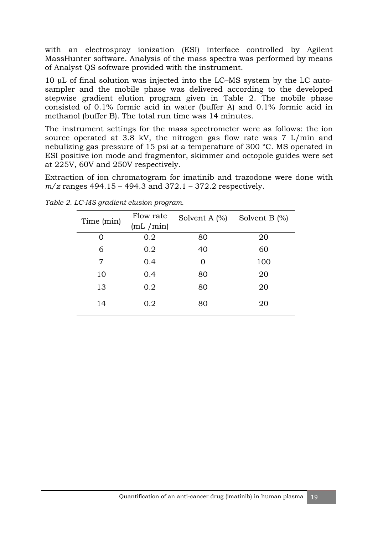with an electrospray ionization (ESI) interface controlled by Agilent MassHunter software. Analysis of the mass spectra was performed by means of Analyst QS software provided with the instrument.

10 µL of final solution was injected into the LC–MS system by the LC autosampler and the mobile phase was delivered according to the developed stepwise gradient elution program given in Table 2. The mobile phase consisted of 0.1% formic acid in water (buffer A) and 0.1% formic acid in methanol (buffer B). The total run time was 14 minutes.

The instrument settings for the mass spectrometer were as follows: the ion source operated at 3.8 kV, the nitrogen gas flow rate was 7 L/min and nebulizing gas pressure of 15 psi at a temperature of 300 °C. MS operated in ESI positive ion mode and fragmentor, skimmer and octopole guides were set at 225V, 60V and 250V respectively.

Extraction of ion chromatogram for imatinib and trazodone were done with *m/z* ranges 494.15 – 494.3 and 372.1 – 372.2 respectively.

| Time (min) | Flow rate<br>(mL / min) | Solvent A $(\%)$ | Solvent B $(\%)$ |
|------------|-------------------------|------------------|------------------|
| 0          | 0.2                     | 80               | 20               |
| 6          | 0.2                     | 40               | 60               |
| 7          | 0.4                     | ∩                | 100              |
| 10         | 0.4                     | 80               | 20               |
| 13         | 0.2                     | 80               | 20               |
| 14         | 0.2                     | 80               | 20               |

*Table 2. LC-MS gradient elusion program.*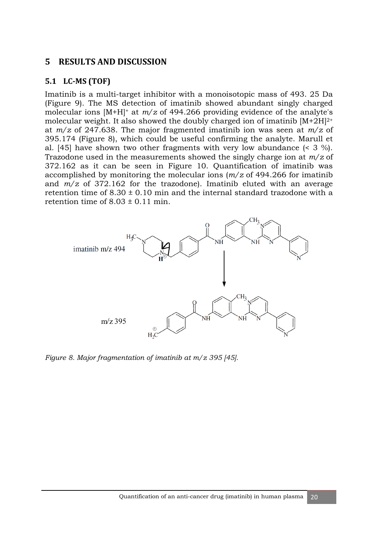#### **5 RESULTS AND DISCUSSION**

#### **5.1 LC-MS (TOF)**

Imatinib is a multi-target inhibitor with a monoisotopic mass of 493. 25 Da (Figure 9). The MS detection of imatinib showed abundant singly charged molecular ions [M+H]<sup>+</sup> at *m/z* of 494.266 providing evidence of the analyte's molecular weight. It also showed the doubly charged ion of imatinib  $[M+2H]^{2+}$ at *m/z* of 247.638. The major fragmented imatinib ion was seen at *m/z* of 395.174 (Figure 8), which could be useful confirming the analyte. Marull et al. [45] have shown two other fragments with very low abundance (< 3 %). Trazodone used in the measurements showed the singly charge ion at *m/z* of 372.162 as it can be seen in Figure 10. Quantification of imatinib was accomplished by monitoring the molecular ions (*m/z* of 494.266 for imatinib and *m/z* of 372.162 for the trazodone). Imatinib eluted with an average retention time of  $8.30 \pm 0.10$  min and the internal standard trazodone with a retention time of  $8.03 \pm 0.11$  min.



*Figure 8. Major fragmentation of imatinib at m/z 395 [45].*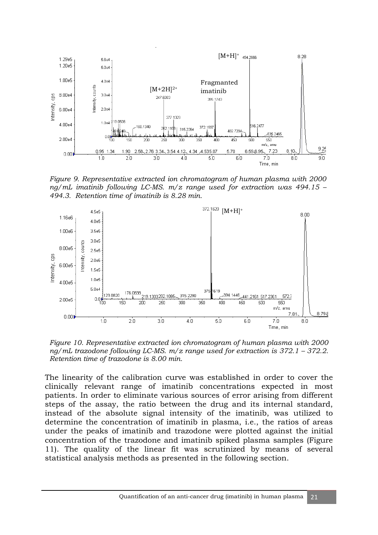

*Figure 9. Representative extracted ion chromatogram of human plasma with 2000 ng/mL imatinib following LC-MS. m/z range used for extraction was 494.15 – 494.3. Retention time of imatinib is 8.28 min.* 



*Figure 10. Representative extracted ion chromatogram of human plasma with 2000 ng/mL trazodone following LC-MS. m/z range used for extraction is 372.1 – 372.2. Retention time of trazodone is 8.00 min.* 

The linearity of the calibration curve was established in order to cover the clinically relevant range of imatinib concentrations expected in most patients. In order to eliminate various sources of error arising from different steps of the assay, the ratio between the drug and its internal standard, instead of the absolute signal intensity of the imatinib, was utilized to determine the concentration of imatinib in plasma, i.e., the ratios of areas under the peaks of imatinib and trazodone were plotted against the initial concentration of the trazodone and imatinib spiked plasma samples (Figure 11). The quality of the linear fit was scrutinized by means of several statistical analysis methods as presented in the following section.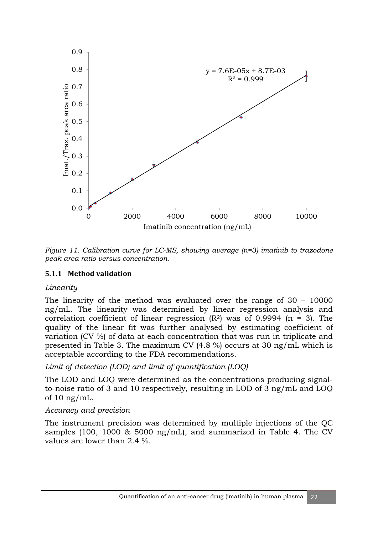

*Figure 11. Calibration curve for LC-MS, showing average (n=3) imatinib to trazodone peak area ratio versus concentration.* 

#### **5.1.1 Method validation**

#### *Linearity*

The linearity of the method was evaluated over the range of 30 – 10000 ng/mL. The linearity was determined by linear regression analysis and correlation coefficient of linear regression  $(R^2)$  was of 0.9994 (n = 3). The quality of the linear fit was further analysed by estimating coefficient of variation (CV %) of data at each concentration that was run in triplicate and presented in Table 3. The maximum CV (4.8 %) occurs at 30 ng/mL which is acceptable according to the FDA recommendations.

*Limit of detection (LOD) and limit of quantification (LOQ)* 

The LOD and LOQ were determined as the concentrations producing signalto-noise ratio of 3 and 10 respectively, resulting in LOD of 3 ng/mL and LOQ of 10 ng/mL.

#### *Accuracy and precision*

The instrument precision was determined by multiple injections of the QC samples (100, 1000 & 5000 ng/mL), and summarized in Table 4. The CV values are lower than 2.4 %.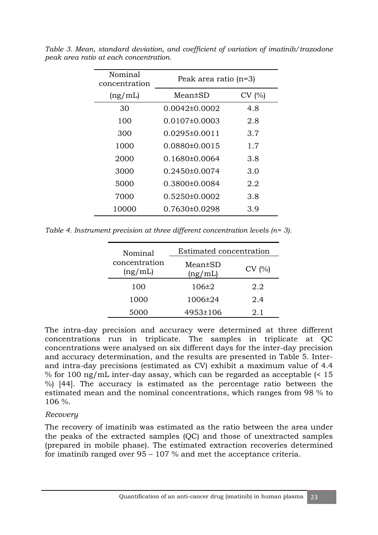| Nominal<br>concentration | Peak area ratio (n=3) |       |
|--------------------------|-----------------------|-------|
| (ng/mL)                  | Mean±SD               | CV(%) |
| 30                       | $0.0042\pm0.0002$     | 4.8   |
| 100                      | $0.0107 \pm 0.0003$   | 2.8   |
| 300                      | $0.0295\pm0.0011$     | 3.7   |
| 1000                     | $0.0880\pm0.0015$     | 1.7   |
| 2000                     | $0.1680\pm0.0064$     | 3.8   |
| 3000                     | $0.2450\pm0.0074$     | 3.0   |
| 5000                     | 0.3800±0.0084         | 2.2   |
| 7000                     | $0.5250\pm0.0002$     | 3.8   |
| 10000                    | 0.7630±0.0298         | 3.9   |

*Table 3. Mean, standard deviation, and coefficient of variation of imatinib/trazodone peak area ratio at each concentration.* 

*Table 4. Instrument precision at three different concentration levels (n= 3).* 

| Nominal                  | Estimated concentration  |       |  |
|--------------------------|--------------------------|-------|--|
| concentration<br>(ng/mL) | $Mean \pm SD$<br>(ng/mL) | CV(%) |  |
| 100                      | $106\pm 2$               | 2.2   |  |
| 1000                     | 1006±24                  | 2.4   |  |
| 5000                     | 4953±106                 | 2.1   |  |

The intra-day precision and accuracy were determined at three different concentrations run in triplicate. The samples in triplicate at QC concentrations were analysed on six different days for the inter-day precision and accuracy determination, and the results are presented in Table 5. Interand intra-day precisions (estimated as CV) exhibit a maximum value of 4.4 % for 100 ng/mL inter-day assay, which can be regarded as acceptable (< 15 %) [44]. The accuracy is estimated as the percentage ratio between the estimated mean and the nominal concentrations, which ranges from 98 % to 106 %.

#### *Recovery*

The recovery of imatinib was estimated as the ratio between the area under the peaks of the extracted samples (QC) and those of unextracted samples (prepared in mobile phase). The estimated extraction recoveries determined for imatinib ranged over 95 – 107 % and met the acceptance criteria.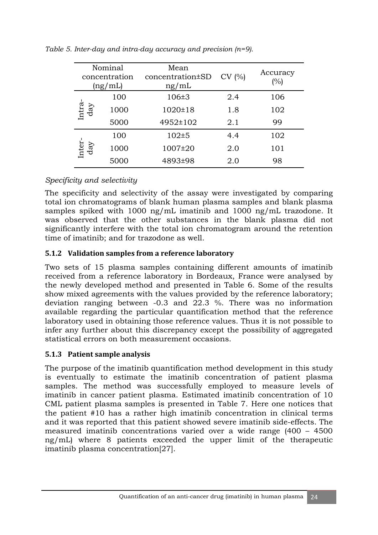| Nominal<br>concentration<br>(ng/mL) |      | Mean<br>concentration±SD<br>ng/mL | CV(%) | Accuracy<br>(%) |
|-------------------------------------|------|-----------------------------------|-------|-----------------|
|                                     | 100  | $106 \pm 3$                       | 2.4   | 106             |
| Intra-<br>day                       | 1000 | 1020±18                           | 1.8   | 102             |
|                                     | 5000 | 4952±102                          | 2.1   | 99              |
|                                     | 100  | $102 + 5$                         | 4.4   | 102             |
| Inter<br>day                        | 1000 | 1007±20                           | 2.0   | 101             |
|                                     | 5000 | 4893±98                           | 2.0   | 98              |

*Table 5. Inter-day and intra-day accuracy and precision (n=9).* 

#### *Specificity and selectivity*

The specificity and selectivity of the assay were investigated by comparing total ion chromatograms of blank human plasma samples and blank plasma samples spiked with 1000 ng/mL imatinib and 1000 ng/mL trazodone. It was observed that the other substances in the blank plasma did not significantly interfere with the total ion chromatogram around the retention time of imatinib; and for trazodone as well.

#### **5.1.2 Validation samples from a reference laboratory**

Two sets of 15 plasma samples containing different amounts of imatinib received from a reference laboratory in Bordeaux, France were analysed by the newly developed method and presented in Table 6. Some of the results show mixed agreements with the values provided by the reference laboratory; deviation ranging between -0.3 and 22.3 %. There was no information available regarding the particular quantification method that the reference laboratory used in obtaining those reference values. Thus it is not possible to infer any further about this discrepancy except the possibility of aggregated statistical errors on both measurement occasions.

#### **5.1.3 Patient sample analysis**

The purpose of the imatinib quantification method development in this study is eventually to estimate the imatinib concentration of patient plasma samples. The method was successfully employed to measure levels of imatinib in cancer patient plasma. Estimated imatinib concentration of 10 CML patient plasma samples is presented in Table 7. Here one notices that the patient #10 has a rather high imatinib concentration in clinical terms and it was reported that this patient showed severe imatinib side-effects. The measured imatinib concentrations varied over a wide range (400 – 4500 ng/mL) where 8 patients exceeded the upper limit of the therapeutic imatinib plasma concentration[27].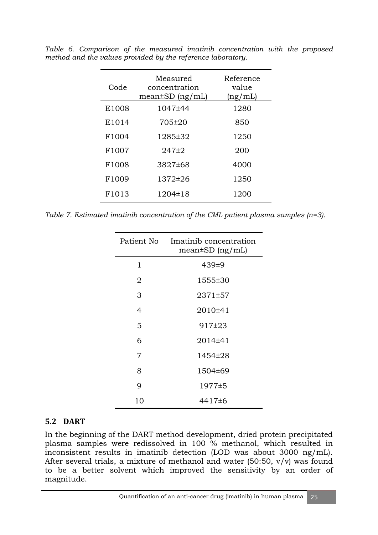| Code              | Measured<br>concentration<br>$mean \pm SD$ (ng/mL) | Reference<br>value<br>(ng/mL) |
|-------------------|----------------------------------------------------|-------------------------------|
| E1008             | 1047±44                                            | 1280                          |
| E1014             | 705±20                                             | 850                           |
| F1004             | 1285±32                                            | 1250                          |
| F1007             | 247±2                                              | 200                           |
| F1008             | 3827±68                                            | 4000                          |
| F1009             | 1372±26                                            | 1250                          |
| F <sub>1013</sub> | 1204±18                                            | 1200                          |

*Table 6. Comparison of the measured imatinib concentration with the proposed method and the values provided by the reference laboratory.* 

*Table 7. Estimated imatinib concentration of the CML patient plasma samples (n=3).* 

| Patient No | Imatinib concentration<br>$mean \pm SD$ (ng/mL) |  |
|------------|-------------------------------------------------|--|
| 1          | $439+9$                                         |  |
| 2          | 1555±30                                         |  |
| 3          | 2371±57                                         |  |
| 4          | 2010±41                                         |  |
| 5          | $917+23$                                        |  |
| 6          | 2014±41                                         |  |
| 7          | 1454±28                                         |  |
| 8          | 1504±69                                         |  |
| 9          | 1977±5                                          |  |
| 10         | 4417±6                                          |  |

#### **5.2 DART**

In the beginning of the DART method development, dried protein precipitated plasma samples were redissolved in 100 % methanol, which resulted in inconsistent results in imatinib detection (LOD was about 3000 ng/mL). After several trials, a mixture of methanol and water  $(50:50, v/v)$  was found to be a better solvent which improved the sensitivity by an order of magnitude.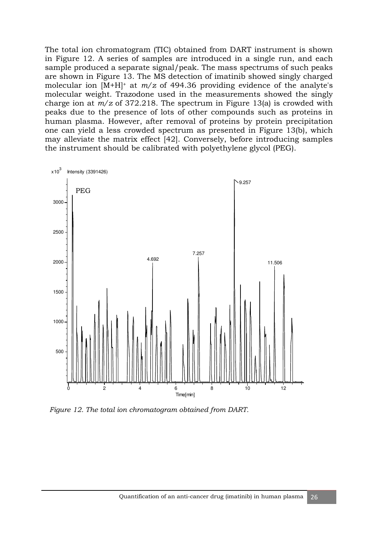The total ion chromatogram (TIC) obtained from DART instrument is shown in Figure 12. A series of samples are introduced in a single run, and each sample produced a separate signal/peak. The mass spectrums of such peaks are shown in Figure 13. The MS detection of imatinib showed singly charged molecular ion  $[M+H]^+$  at  $m/z$  of 494.36 providing evidence of the analyte's molecular weight. Trazodone used in the measurements showed the singly charge ion at *m/z* of 372.218. The spectrum in Figure 13(a) is crowded with peaks due to the presence of lots of other compounds such as proteins in human plasma. However, after removal of proteins by protein precipitation one can yield a less crowded spectrum as presented in Figure 13(b), which may alleviate the matrix effect [42]. Conversely, before introducing samples the instrument should be calibrated with polyethylene glycol (PEG).



*Figure 12. The total ion chromatogram obtained from DART.*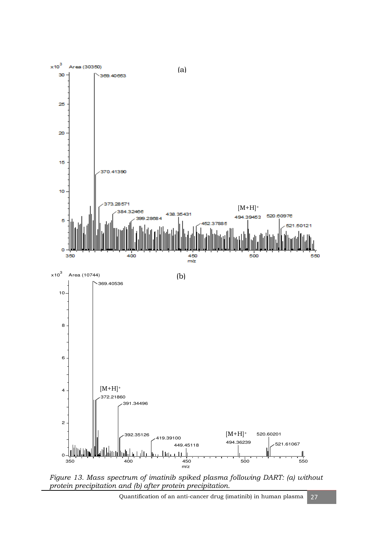

*Figure 13. Mass spectrum of imatinib spiked plasma following DART: (a) without protein precipitation and (b) after protein precipitation.*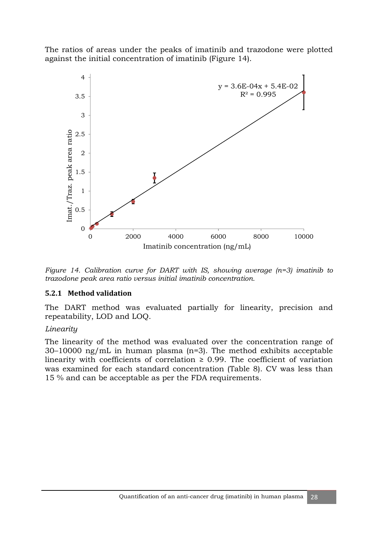The ratios of areas under the peaks of imatinib and trazodone were plotted against the initial concentration of imatinib (Figure 14).



*Figure 14. Calibration curve for DART with IS, showing average (n=3) imatinib to trazodone peak area ratio versus initial imatinib concentration.* 

#### **5.2.1 Method validation**

The DART method was evaluated partially for linearity, precision and repeatability, LOD and LOQ.

#### *Linearity*

The linearity of the method was evaluated over the concentration range of 30–10000 ng/mL in human plasma (n=3). The method exhibits acceptable linearity with coefficients of correlation  $\geq$  0.99. The coefficient of variation was examined for each standard concentration (Table 8). CV was less than 15 % and can be acceptable as per the FDA requirements.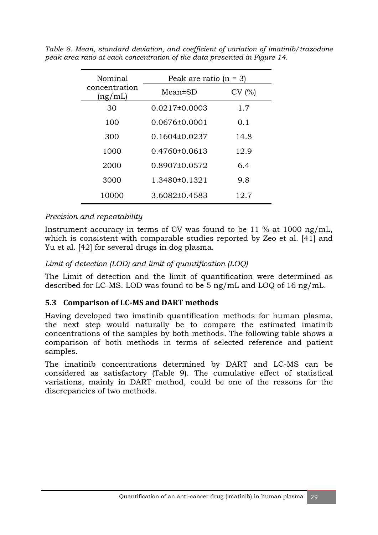| Nominal                  | Peak are ratio $(n = 3)$ |       |  |
|--------------------------|--------------------------|-------|--|
| concentration<br>(ng/mL) | Mean±SD                  | CV(%) |  |
| 30                       | $0.0217\pm0.0003$        | 1.7   |  |
| 100                      | $0.0676 \pm 0.0001$      | 0.1   |  |
| 300                      | $0.1604\pm0.0237$        | 14.8  |  |
| 1000                     | $0.4760\pm0.0613$        | 12.9  |  |
| 2000                     | 0.8907±0.0572            | 6.4   |  |
| 3000                     | 1.3480±0.1321            | 9.8   |  |
| 10000                    | 3.6082±0.4583            | 12.7  |  |

*Table 8. Mean, standard deviation, and coefficient of variation of imatinib/trazodone peak area ratio at each concentration of the data presented in Figure 14.* 

#### *Precision and repeatability*

Instrument accuracy in terms of CV was found to be 11 % at 1000 ng/mL, which is consistent with comparable studies reported by Zeo et al. [41] and Yu et al. [42] for several drugs in dog plasma.

#### *Limit of detection (LOD) and limit of quantification (LOQ)*

The Limit of detection and the limit of quantification were determined as described for LC-MS. LOD was found to be 5 ng/mL and LOQ of 16 ng/mL.

## **5.3 Comparison of LC-MS and DART methods**

Having developed two imatinib quantification methods for human plasma, the next step would naturally be to compare the estimated imatinib concentrations of the samples by both methods. The following table shows a comparison of both methods in terms of selected reference and patient samples.

The imatinib concentrations determined by DART and LC-MS can be considered as satisfactory (Table 9). The cumulative effect of statistical variations, mainly in DART method, could be one of the reasons for the discrepancies of two methods.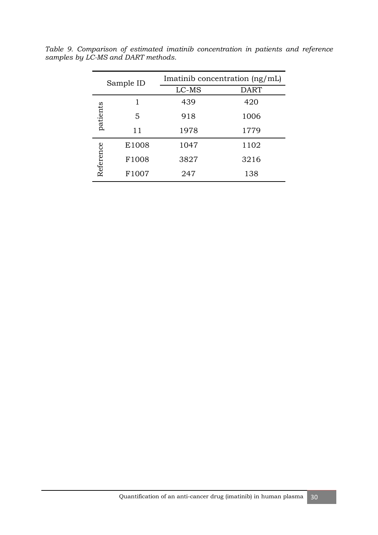| Sample ID |       | Imatinib concentration $(ng/mL)$ |      |
|-----------|-------|----------------------------------|------|
|           |       | LC-MS                            | DART |
|           |       | 439                              | 420  |
| patients  | 5     | 918                              | 1006 |
|           | 11    | 1978                             | 1779 |
|           | E1008 | 1047                             | 1102 |
| Reference | F1008 | 3827                             | 3216 |
|           | F1007 | 247                              | 138  |

*Table 9. Comparison of estimated imatinib concentration in patients and reference samples by LC-MS and DART methods.*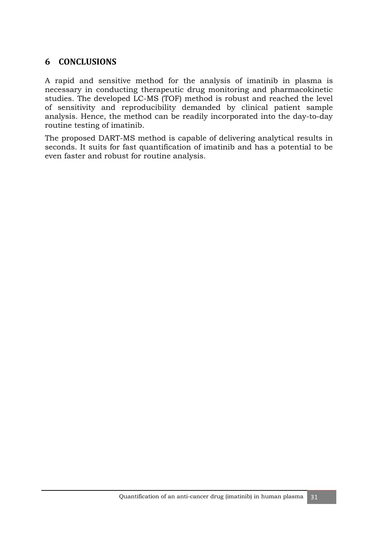## **6 CONCLUSIONS**

A rapid and sensitive method for the analysis of imatinib in plasma is necessary in conducting therapeutic drug monitoring and pharmacokinetic studies. The developed LC-MS (TOF) method is robust and reached the level of sensitivity and reproducibility demanded by clinical patient sample analysis. Hence, the method can be readily incorporated into the day-to-day routine testing of imatinib.

The proposed DART-MS method is capable of delivering analytical results in seconds. It suits for fast quantification of imatinib and has a potential to be even faster and robust for routine analysis.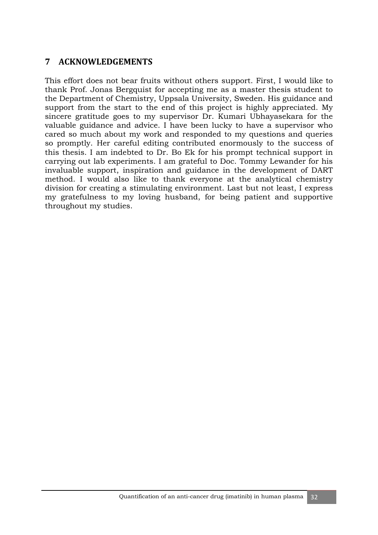## **7 ACKNOWLEDGEMENTS**

This effort does not bear fruits without others support. First, I would like to thank Prof. Jonas Bergquist for accepting me as a master thesis student to the Department of Chemistry, Uppsala University, Sweden. His guidance and support from the start to the end of this project is highly appreciated. My sincere gratitude goes to my supervisor Dr. Kumari Ubhayasekara for the valuable guidance and advice. I have been lucky to have a supervisor who cared so much about my work and responded to my questions and queries so promptly. Her careful editing contributed enormously to the success of this thesis. I am indebted to Dr. Bo Ek for his prompt technical support in carrying out lab experiments. I am grateful to Doc. Tommy Lewander for his invaluable support, inspiration and guidance in the development of DART method. I would also like to thank everyone at the analytical chemistry division for creating a stimulating environment. Last but not least, I express my gratefulness to my loving husband, for being patient and supportive throughout my studies.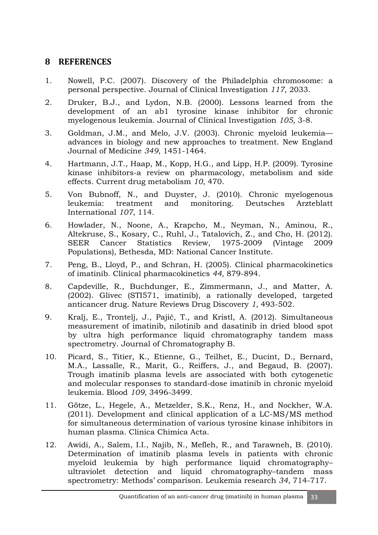## **8 REFERENCES**

- 1. Nowell, P.C. (2007). Discovery of the Philadelphia chromosome: a personal perspective. Journal of Clinical Investigation *117*, 2033.
- 2. Druker, B.J., and Lydon, N.B. (2000). Lessons learned from the development of an ab1 tyrosine kinase inhibitor for chronic myelogenous leukemia. Journal of Clinical Investigation *105*, 3-8.
- 3. Goldman, J.M., and Melo, J.V. (2003). Chronic myeloid leukemia advances in biology and new approaches to treatment. New England Journal of Medicine *349*, 1451-1464.
- 4. Hartmann, J.T., Haap, M., Kopp, H.G., and Lipp, H.P. (2009). Tyrosine kinase inhibitors-a review on pharmacology, metabolism and side effects. Current drug metabolism *10*, 470.
- 5. Von Bubnoff, N., and Duyster, J. (2010). Chronic myelogenous leukemia: treatment and monitoring. Deutsches Arzteblatt International *107*, 114.
- 6. Howlader, N., Noone, A., Krapcho, M., Neyman, N., Aminou, R., Altekruse, S., Kosary, C., Ruhl, J., Tatalovich, Z., and Cho, H. (2012). SEER Cancer Statistics Review, 1975-2009 (Vintage 2009 Populations), Bethesda, MD: National Cancer Institute.
- 7. Peng, B., Lloyd, P., and Schran, H. (2005). Clinical pharmacokinetics of imatinib. Clinical pharmacokinetics *44*, 879-894.
- 8. Capdeville, R., Buchdunger, E., Zimmermann, J., and Matter, A. (2002). Glivec (STI571, imatinib), a rationally developed, targeted anticancer drug. Nature Reviews Drug Discovery *1*, 493-502.
- 9. Kralj, E., Trontelj, J., Pajič, T., and Kristl, A. (2012). Simultaneous measurement of imatinib, nilotinib and dasatinib in dried blood spot by ultra high performance liquid chromatography tandem mass spectrometry. Journal of Chromatography B.
- 10. Picard, S., Titier, K., Etienne, G., Teilhet, E., Ducint, D., Bernard, M.A., Lassalle, R., Marit, G., Reiffers, J., and Begaud, B. (2007). Trough imatinib plasma levels are associated with both cytogenetic and molecular responses to standard-dose imatinib in chronic myeloid leukemia. Blood *109*, 3496-3499.
- 11. Götze, L., Hegele, A., Metzelder, S.K., Renz, H., and Nockher, W.A. (2011). Development and clinical application of a LC-MS/MS method for simultaneous determination of various tyrosine kinase inhibitors in human plasma. Clinica Chimica Acta.
- 12. Awidi, A., Salem, I.I., Najib, N., Mefleh, R., and Tarawneh, B. (2010). Determination of imatinib plasma levels in patients with chronic myeloid leukemia by high performance liquid chromatography– ultraviolet detection and liquid chromatography–tandem mass spectrometry: Methods' comparison. Leukemia research *34*, 714-717.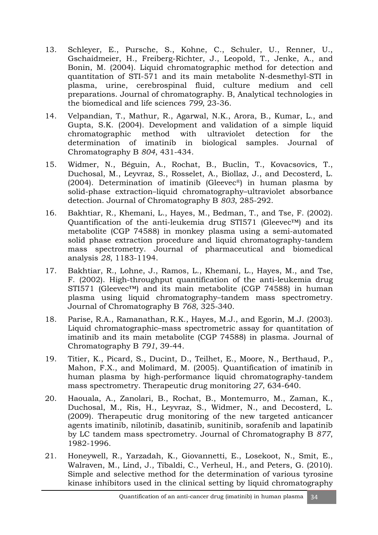- 13. Schleyer, E., Pursche, S., Kohne, C., Schuler, U., Renner, U., Gschaidmeier, H., Freiberg-Richter, J., Leopold, T., Jenke, A., and Bonin, M. (2004). Liquid chromatographic method for detection and quantitation of STI-571 and its main metabolite N-desmethyl-STI in plasma, urine, cerebrospinal fluid, culture medium and cell preparations. Journal of chromatography. B, Analytical technologies in the biomedical and life sciences *799*, 23-36.
- 14. Velpandian, T., Mathur, R., Agarwal, N.K., Arora, B., Kumar, L., and Gupta, S.K. (2004). Development and validation of a simple liquid chromatographic method with ultraviolet detection for the determination of imatinib in biological samples. Journal of Chromatography B *804*, 431-434.
- 15. Widmer, N., Béguin, A., Rochat, B., Buclin, T., Kovacsovics, T., Duchosal, M., Leyvraz, S., Rosselet, A., Biollaz, J., and Decosterd, L. (2004). Determination of imatinib (Gleevec®) in human plasma by solid-phase extraction–liquid chromatography–ultraviolet absorbance detection. Journal of Chromatography B *803*, 285-292.
- 16. Bakhtiar, R., Khemani, L., Hayes, M., Bedman, T., and Tse, F. (2002). Quantification of the anti-leukemia drug STI571 (Gleevec™) and its metabolite (CGP 74588) in monkey plasma using a semi-automated solid phase extraction procedure and liquid chromatography-tandem mass spectrometry. Journal of pharmaceutical and biomedical analysis *28*, 1183-1194.
- 17. Bakhtiar, R., Lohne, J., Ramos, L., Khemani, L., Hayes, M., and Tse, F. (2002). High-throughput quantification of the anti-leukemia drug STI571 (Gleevec™) and its main metabolite (CGP 74588) in human plasma using liquid chromatography–tandem mass spectrometry. Journal of Chromatography B *768*, 325-340.
- 18. Parise, R.A., Ramanathan, R.K., Hayes, M.J., and Egorin, M.J. (2003). Liquid chromatographic–mass spectrometric assay for quantitation of imatinib and its main metabolite (CGP 74588) in plasma. Journal of Chromatography B *791*, 39-44.
- 19. Titier, K., Picard, S., Ducint, D., Teilhet, E., Moore, N., Berthaud, P., Mahon, F.X., and Molimard, M. (2005). Quantification of imatinib in human plasma by high-performance liquid chromatography-tandem mass spectrometry. Therapeutic drug monitoring *27*, 634-640.
- 20. Haouala, A., Zanolari, B., Rochat, B., Montemurro, M., Zaman, K., Duchosal, M., Ris, H., Leyvraz, S., Widmer, N., and Decosterd, L. (2009). Therapeutic drug monitoring of the new targeted anticancer agents imatinib, nilotinib, dasatinib, sunitinib, sorafenib and lapatinib by LC tandem mass spectrometry. Journal of Chromatography B *877*, 1982-1996.
- 21. Honeywell, R., Yarzadah, K., Giovannetti, E., Losekoot, N., Smit, E., Walraven, M., Lind, J., Tibaldi, C., Verheul, H., and Peters, G. (2010). Simple and selective method for the determination of various tyrosine kinase inhibitors used in the clinical setting by liquid chromatography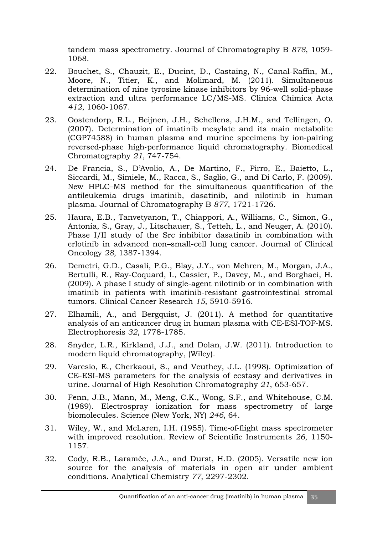tandem mass spectrometry. Journal of Chromatography B *878*, 1059- 1068.

- 22. Bouchet, S., Chauzit, E., Ducint, D., Castaing, N., Canal-Raffin, M., Moore, N., Titier, K., and Molimard, M. (2011). Simultaneous determination of nine tyrosine kinase inhibitors by 96-well solid-phase extraction and ultra performance LC/MS-MS. Clinica Chimica Acta *412*, 1060-1067.
- 23. Oostendorp, R.L., Beijnen, J.H., Schellens, J.H.M., and Tellingen, O. (2007). Determination of imatinib mesylate and its main metabolite (CGP74588) in human plasma and murine specimens by ion‐pairing reversed‐phase high‐performance liquid chromatography. Biomedical Chromatography *21*, 747-754.
- 24. De Francia, S., D'Avolio, A., De Martino, F., Pirro, E., Baietto, L., Siccardi, M., Simiele, M., Racca, S., Saglio, G., and Di Carlo, F. (2009). New HPLC–MS method for the simultaneous quantification of the antileukemia drugs imatinib, dasatinib, and nilotinib in human plasma. Journal of Chromatography B *877*, 1721-1726.
- 25. Haura, E.B., Tanvetyanon, T., Chiappori, A., Williams, C., Simon, G., Antonia, S., Gray, J., Litschauer, S., Tetteh, L., and Neuger, A. (2010). Phase I/II study of the Src inhibitor dasatinib in combination with erlotinib in advanced non–small-cell lung cancer. Journal of Clinical Oncology *28*, 1387-1394.
- 26. Demetri, G.D., Casali, P.G., Blay, J.Y., von Mehren, M., Morgan, J.A., Bertulli, R., Ray-Coquard, I., Cassier, P., Davey, M., and Borghaei, H. (2009). A phase I study of single-agent nilotinib or in combination with imatinib in patients with imatinib-resistant gastrointestinal stromal tumors. Clinical Cancer Research *15*, 5910-5916.
- 27. Elhamili, A., and Bergquist, J. (2011). A method for quantitative analysis of an anticancer drug in human plasma with CE‐ESI‐TOF‐MS. Electrophoresis *32*, 1778-1785.
- 28. Snyder, L.R., Kirkland, J.J., and Dolan, J.W. (2011). Introduction to modern liquid chromatography, (Wiley).
- 29. Varesio, E., Cherkaoui, S., and Veuthey, J.L. (1998). Optimization of CE-ESI-MS parameters for the analysis of ecstasy and derivatives in urine. Journal of High Resolution Chromatography *21*, 653-657.
- 30. Fenn, J.B., Mann, M., Meng, C.K., Wong, S.F., and Whitehouse, C.M. (1989). Electrospray ionization for mass spectrometry of large biomolecules. Science (New York, NY) *246*, 64.
- 31. Wiley, W., and McLaren, I.H. (1955). Time‐of‐flight mass spectrometer with improved resolution. Review of Scientific Instruments *26*, 1150- 1157.
- 32. Cody, R.B., Laramée, J.A., and Durst, H.D. (2005). Versatile new ion source for the analysis of materials in open air under ambient conditions. Analytical Chemistry *77*, 2297-2302.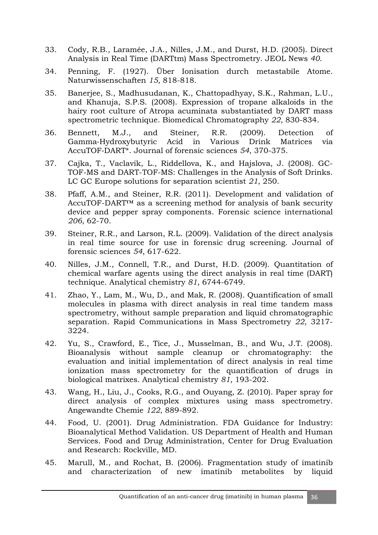- 33. Cody, R.B., Laramée, J.A., Nilles, J.M., and Durst, H.D. (2005). Direct Analysis in Real Time (DARTtm) Mass Spectrometry. JEOL News *40*.
- 34. Penning, F. (1927). Über Ionisation durch metastabile Atome. Naturwissenschaften *15*, 818-818.
- 35. Banerjee, S., Madhusudanan, K., Chattopadhyay, S.K., Rahman, L.U., and Khanuja, S.P.S. (2008). Expression of tropane alkaloids in the hairy root culture of Atropa acuminata substantiated by DART mass spectrometric technique. Biomedical Chromatography *22*, 830-834.
- 36. Bennett, M.J., and Steiner, R.R. (2009). Detection of Gamma‐Hydroxybutyric Acid in Various Drink Matrices via AccuTOF‐DART\*. Journal of forensic sciences *54*, 370-375.
- 37. Cajka, T., Vaclavik, L., Riddellova, K., and Hajslova, J. (2008). GC-TOF-MS and DART-TOF-MS: Challenges in the Analysis of Soft Drinks. LC GC Europe solutions for separation scientist *21*, 250.
- 38. Pfaff, A.M., and Steiner, R.R. (2011). Development and validation of AccuTOF-DART™ as a screening method for analysis of bank security device and pepper spray components. Forensic science international *206*, 62-70.
- 39. Steiner, R.R., and Larson, R.L. (2009). Validation of the direct analysis in real time source for use in forensic drug screening. Journal of forensic sciences *54*, 617-622.
- 40. Nilles, J.M., Connell, T.R., and Durst, H.D. (2009). Quantitation of chemical warfare agents using the direct analysis in real time (DART) technique. Analytical chemistry *81*, 6744-6749.
- 41. Zhao, Y., Lam, M., Wu, D., and Mak, R. (2008). Quantification of small molecules in plasma with direct analysis in real time tandem mass spectrometry, without sample preparation and liquid chromatographic separation. Rapid Communications in Mass Spectrometry *22*, 3217- 3224.
- 42. Yu, S., Crawford, E., Tice, J., Musselman, B., and Wu, J.T. (2008). Bioanalysis without sample cleanup or chromatography: the evaluation and initial implementation of direct analysis in real time ionization mass spectrometry for the quantification of drugs in biological matrixes. Analytical chemistry *81*, 193-202.
- 43. Wang, H., Liu, J., Cooks, R.G., and Ouyang, Z. (2010). Paper spray for direct analysis of complex mixtures using mass spectrometry. Angewandte Chemie *122*, 889-892.
- 44. Food, U. (2001). Drug Administration. FDA Guidance for Industry: Bioanalytical Method Validation. US Department of Health and Human Services. Food and Drug Administration, Center for Drug Evaluation and Research: Rockville, MD.
- 45. Marull, M., and Rochat, B. (2006). Fragmentation study of imatinib and characterization of new imatinib metabolites by liquid